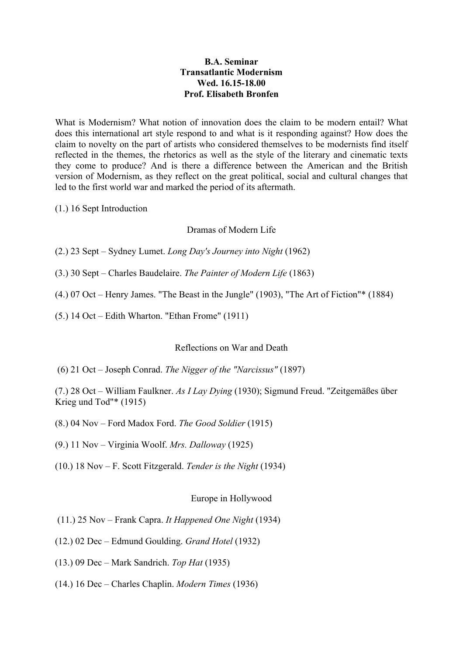## **B.A. Seminar Transatlantic Modernism Wed. 16.15-18.00 Prof. Elisabeth Bronfen**

What is Modernism? What notion of innovation does the claim to be modern entail? What does this international art style respond to and what is it responding against? How does the claim to novelty on the part of artists who considered themselves to be modernists find itself reflected in the themes, the rhetorics as well as the style of the literary and cinematic texts they come to produce? And is there a difference between the American and the British version of Modernism, as they reflect on the great political, social and cultural changes that led to the first world war and marked the period of its aftermath.

(1.) 16 Sept Introduction

### Dramas of Modern Life

- (2.) 23 Sept Sydney Lumet. *Long Day's Journey into Night* (1962)
- (3.) 30 Sept Charles Baudelaire. *The Painter of Modern Life* (1863)
- (4.) 07 Oct Henry James. "The Beast in the Jungle" (1903), "The Art of Fiction"\* (1884)
- (5.) 14 Oct Edith Wharton. "Ethan Frome" (1911)

#### Reflections on War and Death

(6) 21 Oct – Joseph Conrad. *The Nigger of the "Narcissus"* (1897)

(7.) 28 Oct – William Faulkner. *As I Lay Dying* (1930); Sigmund Freud. "Zeitgemäßes über Krieg und Tod"\* (1915)

- (8.) 04 Nov Ford Madox Ford. *The Good Soldier* (1915)
- (9.) 11 Nov Virginia Woolf. *Mrs. Dalloway* (1925)
- (10.) 18 Nov F. Scott Fitzgerald. *Tender is the Night* (1934)

#### Europe in Hollywood

- (11.) 25 Nov Frank Capra. *It Happened One Night* (1934)
- (12.) 02 Dec Edmund Goulding. *Grand Hotel* (1932)
- (13.) 09 Dec Mark Sandrich. *Top Hat* (1935)
- (14.) 16 Dec Charles Chaplin. *Modern Times* (1936)